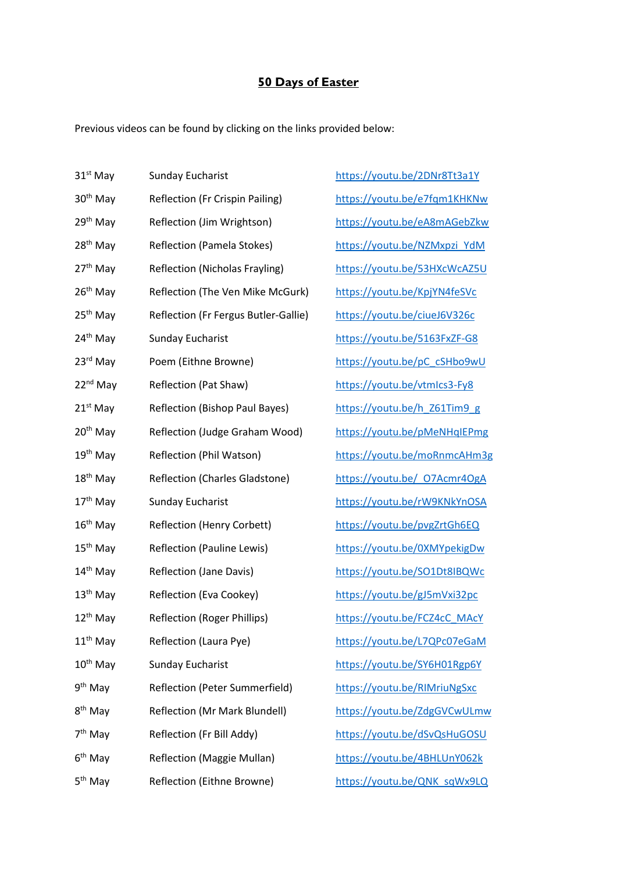## **50 Days of Easter**

Previous videos can be found by clicking on the links provided below:

| 31 <sup>st</sup> May | <b>Sunday Eucharist</b>               | https://youtu.be/2DNr8Tt3a1Y |
|----------------------|---------------------------------------|------------------------------|
| 30 <sup>th</sup> May | Reflection (Fr Crispin Pailing)       | https://youtu.be/e7fqm1KHKNw |
| 29 <sup>th</sup> May | Reflection (Jim Wrightson)            | https://youtu.be/eA8mAGebZkw |
| 28 <sup>th</sup> May | <b>Reflection (Pamela Stokes)</b>     | https://youtu.be/NZMxpzi YdM |
| 27 <sup>th</sup> May | <b>Reflection (Nicholas Frayling)</b> | https://youtu.be/53HXcWcAZ5U |
| 26 <sup>th</sup> May | Reflection (The Ven Mike McGurk)      | https://youtu.be/KpjYN4feSVc |
| 25 <sup>th</sup> May | Reflection (Fr Fergus Butler-Gallie)  | https://youtu.be/ciueJ6V326c |
| 24 <sup>th</sup> May | <b>Sunday Eucharist</b>               | https://youtu.be/5163FxZF-G8 |
| 23 <sup>rd</sup> May | Poem (Eithne Browne)                  | https://youtu.be/pC_cSHbo9wU |
| 22 <sup>nd</sup> May | <b>Reflection (Pat Shaw)</b>          | https://youtu.be/vtmlcs3-Fy8 |
| 21 <sup>st</sup> May | Reflection (Bishop Paul Bayes)        | https://youtu.be/h_Z61Tim9_g |
| 20 <sup>th</sup> May | Reflection (Judge Graham Wood)        | https://youtu.be/pMeNHqIEPmg |
| 19 <sup>th</sup> May | Reflection (Phil Watson)              | https://youtu.be/moRnmcAHm3g |
| 18 <sup>th</sup> May | Reflection (Charles Gladstone)        | https://youtu.be/ 07Acmr4OgA |
| 17 <sup>th</sup> May | <b>Sunday Eucharist</b>               | https://youtu.be/rW9KNkYnOSA |
| 16 <sup>th</sup> May | <b>Reflection (Henry Corbett)</b>     | https://youtu.be/pvgZrtGh6EQ |
| 15 <sup>th</sup> May | Reflection (Pauline Lewis)            | https://youtu.be/0XMYpekigDw |
| 14 <sup>th</sup> May | Reflection (Jane Davis)               | https://youtu.be/SO1Dt8IBQWc |
| 13 <sup>th</sup> May | Reflection (Eva Cookey)               | https://youtu.be/gJ5mVxi32pc |
| 12 <sup>th</sup> May | <b>Reflection (Roger Phillips)</b>    | https://youtu.be/FCZ4cC_MAcY |
| 11 <sup>th</sup> May | Reflection (Laura Pye)                | https://youtu.be/L7QPc07eGaM |
| 10 <sup>th</sup> May | <b>Sunday Eucharist</b>               | https://youtu.be/SY6H01Rgp6Y |
| 9 <sup>th</sup> May  | Reflection (Peter Summerfield)        | https://youtu.be/RIMriuNgSxc |
| 8 <sup>th</sup> May  | Reflection (Mr Mark Blundell)         | https://youtu.be/ZdgGVCwULmw |
| 7 <sup>th</sup> May  | Reflection (Fr Bill Addy)             | https://youtu.be/dSvQsHuGOSU |
| 6 <sup>th</sup> May  | <b>Reflection (Maggie Mullan)</b>     | https://youtu.be/4BHLUnY062k |
| 5 <sup>th</sup> May  | Reflection (Eithne Browne)            | https://youtu.be/QNK sqWx9LQ |